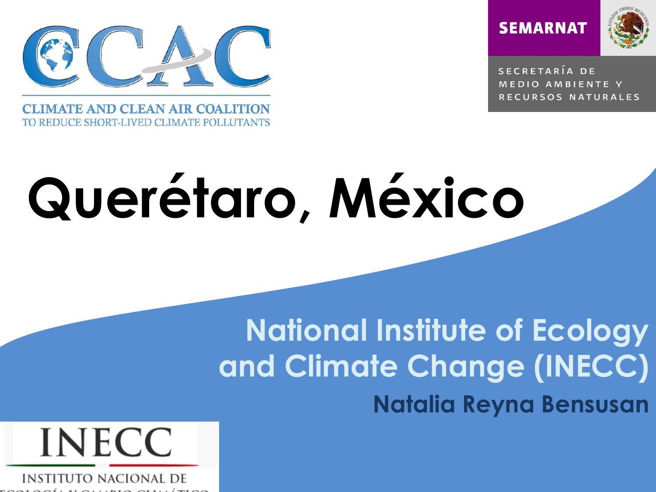

**CLIMATE AND CLEAN AIR COALITION** TO REDUCE SHORT-LIVED CLIMATE POLLUTANTS





SECRETARÍA DE MEDIO AMBIENTE Y RECURSOS NATURALES

# **Querétaro, México**

 **Natalia Reyna BensusanNational Institute of Ecology and Climate Change (INECC)**

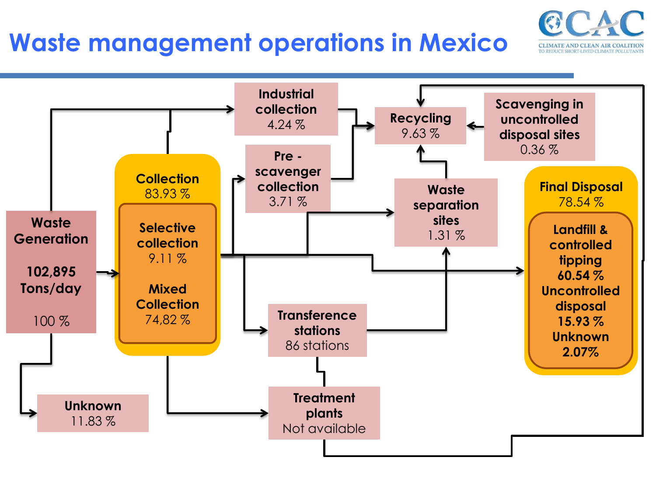#### **Waste management operations in Mexico**

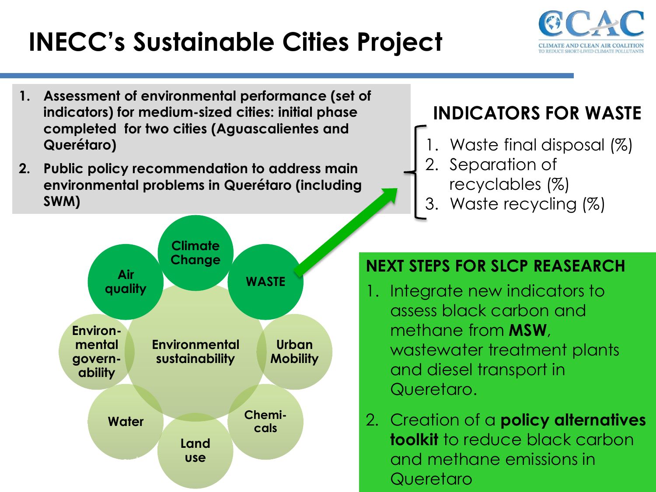# **INECC's Sustainable Cities Project**



- **1. Assessment of environmental performance (set of indicators) for medium-sized cities: initial phase completed for two cities (Aguascalientes and Querétaro)**
- **2. Public policy recommendation to address main environmental problems in Querétaro (including SWM)**

#### **INDICATORS FOR WASTE**

- 1. Waste final disposal (%)
- 2. Separation of recyclables (%)
- 3. Waste recycling (%)



#### **NEXT STEPS FOR SLCP REASEARCH**

- 1. Integrate new indicators to assess black carbon and methane from **MSW**, wastewater treatment plants and diesel transport in Queretaro.
- 2. Creation of a **policy alternatives toolkit** to reduce black carbon and methane emissions in **Queretaro**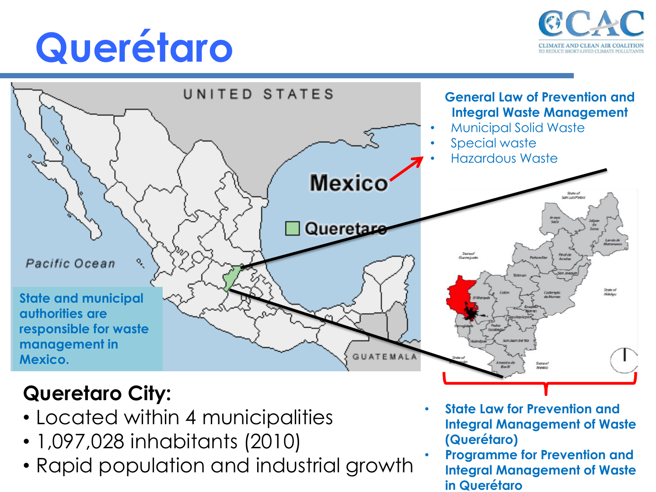# **Querétaro**





#### **Queretaro City:**

- Located within 4 municipalities
- 1,097,028 inhabitants (2010)
- Rapid population and industrial growth
- **State Law for Prevention and Integral Management of Waste (Querétaro)**
- **Programme for Prevention and Integral Management of Waste in Querétaro**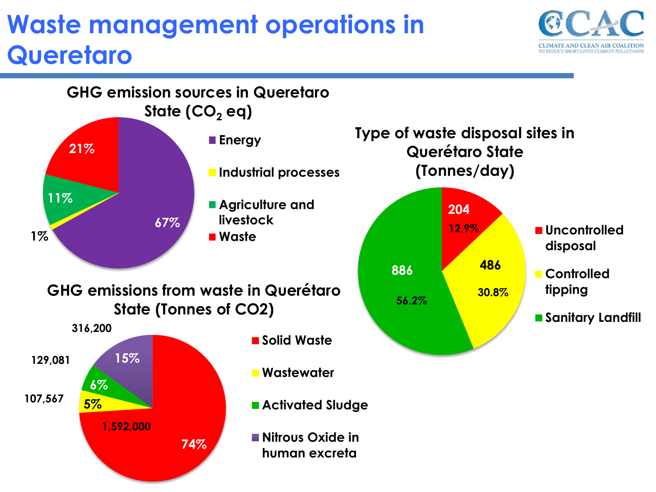### **Waste management operations in Queretaro**



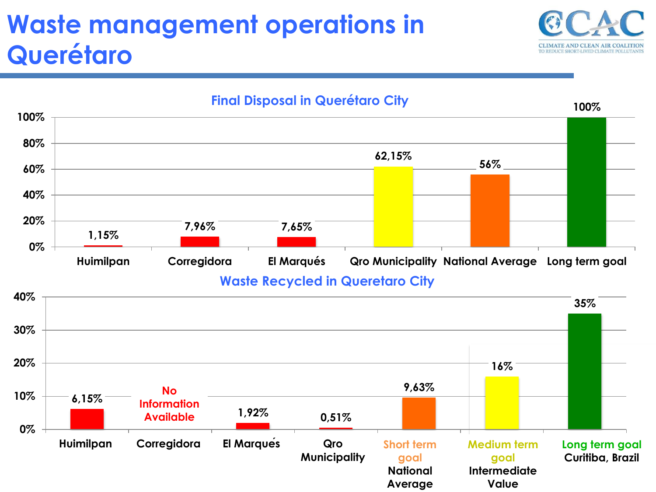# **Waste management operations in Querétaro**



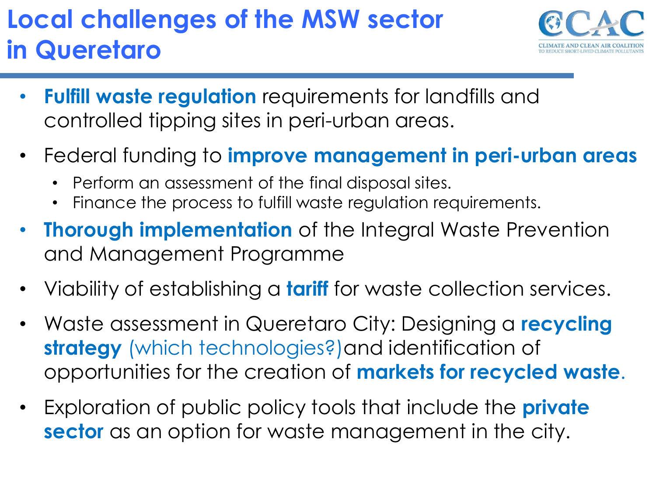# **Local challenges of the MSW sector in Queretaro**



- **Fulfill waste regulation** requirements for landfills and controlled tipping sites in peri-urban areas.
- Federal funding to **improve management in peri-urban areas** 
	- Perform an assessment of the final disposal sites.
	- Finance the process to fulfill waste regulation requirements.
- **Thorough implementation** of the Integral Waste Prevention and Management Programme
- Viability of establishing a **tariff** for waste collection services.
- Waste assessment in Queretaro City: Designing a **recycling strategy** (which technologies?)and identification of opportunities for the creation of **markets for recycled waste**.
- Exploration of public policy tools that include the **private sector** as an option for waste management in the city.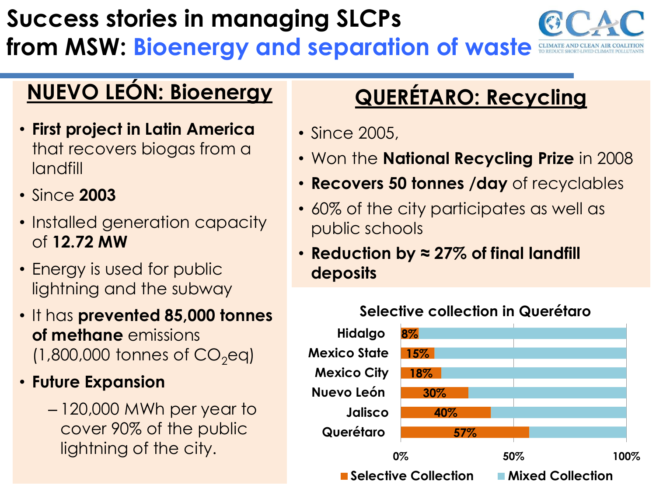### **Success stories in managing SLCPs from MSW: Bioenergy and separation of waste**

#### **NUEVO LEÓN: Bioenergy**

- **First project in Latin America**  that recovers biogas from a landfill
- Since **2003**
- Installed generation capacity of **12.72 MW**
- Energy is used for public lightning and the subway
- It has **prevented 85,000 tonnes of methane** emissions  $(1,800,000$  tonnes of  $CO<sub>2</sub>$ eq)
- **Future Expansion** 
	- 120,000 MWh per year to cover 90% of the public lightning of the city.

#### **QUERÉTARO: Recycling**

- Since 2005.
- Won the **National Recycling Prize** in 2008
- **Recovers 50 tonnes /day** of recyclables
- 60% of the city participates as well as public schools
- **Reduction by ≈ 27% of final landfill deposits**

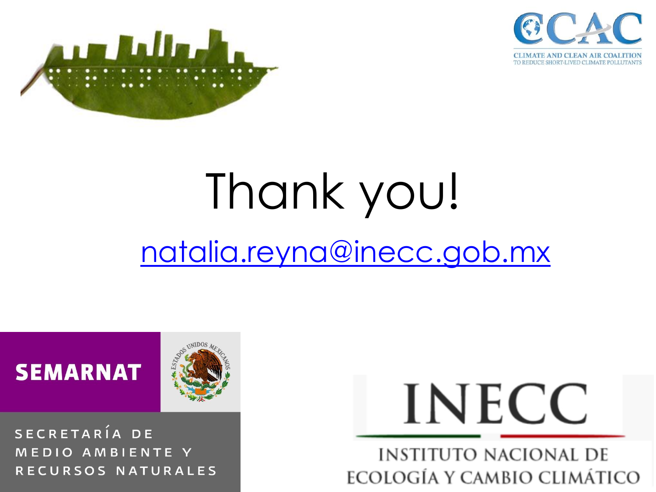



# Thank you! [natalia.reyna@inecc.gob.mx](mailto:Natalia.reyna@inecc.gob.mx)



SECRETARÍA DE MEDIO AMBIENTE Y RECURSOS NATURALES



**INSTITUTO NACIONAL DE ECOLOGÍA Y CAMBIO CLIMÁTICO**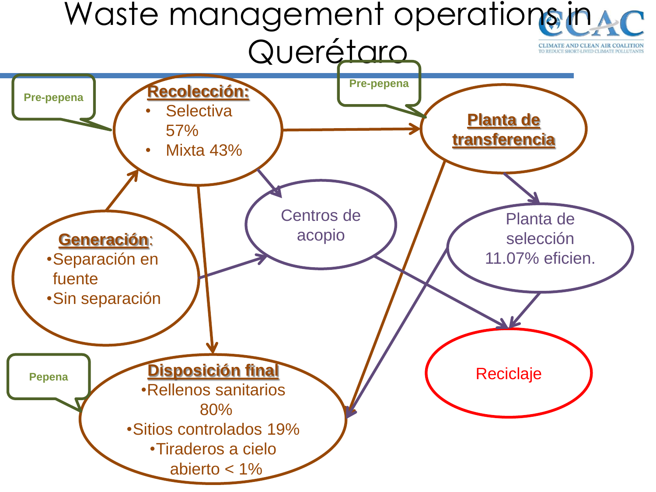